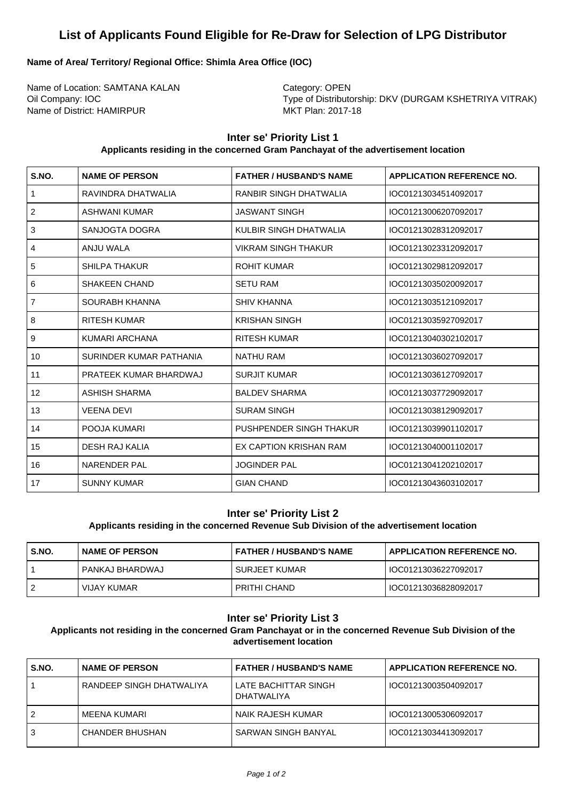# **List of Applicants Found Eligible for Re-Draw for Selection of LPG Distributor**

# **Name of Area/ Territory/ Regional Office: Shimla Area Office (IOC)**

Name of Location: SAMTANA KALAN Category: OPEN Name of District: HAMIRPUR MKT Plan: 2017-18

Oil Company: IOC **Type of Distributorship: DKV (DURGAM KSHETRIYA VITRAK)** 

# **Inter se' Priority List 1**

#### **Applicants residing in the concerned Gram Panchayat of the advertisement location**

| S.NO.          | <b>NAME OF PERSON</b>   | <b>FATHER / HUSBAND'S NAME</b> | <b>APPLICATION REFERENCE NO.</b> |
|----------------|-------------------------|--------------------------------|----------------------------------|
| $\mathbf{1}$   | RAVINDRA DHATWALIA      | RANBIR SINGH DHATWALIA         | IOC01213034514092017             |
| $\overline{2}$ | ASHWANI KUMAR           | <b>JASWANT SINGH</b>           | IOC01213006207092017             |
| 3              | SANJOGTA DOGRA          | KULBIR SINGH DHATWALIA         | IOC01213028312092017             |
| 4              | ANJU WALA               | <b>VIKRAM SINGH THAKUR</b>     | IOC01213023312092017             |
| 5              | <b>SHILPA THAKUR</b>    | <b>ROHIT KUMAR</b>             | IOC01213029812092017             |
| 6              | <b>SHAKEEN CHAND</b>    | <b>SETU RAM</b>                | IOC01213035020092017             |
| $\overline{7}$ | SOURABH KHANNA          | <b>SHIV KHANNA</b>             | IOC01213035121092017             |
| 8              | <b>RITESH KUMAR</b>     | <b>KRISHAN SINGH</b>           | IOC01213035927092017             |
| 9              | KUMARI ARCHANA          | <b>RITESH KUMAR</b>            | IOC01213040302102017             |
| 10             | SURINDER KUMAR PATHANIA | <b>NATHU RAM</b>               | IOC01213036027092017             |
| 11             | PRATEEK KUMAR BHARDWAJ  | <b>SURJIT KUMAR</b>            | IOC01213036127092017             |
| 12             | <b>ASHISH SHARMA</b>    | <b>BALDEV SHARMA</b>           | IOC01213037729092017             |
| 13             | <b>VEENA DEVI</b>       | <b>SURAM SINGH</b>             | IOC01213038129092017             |
| 14             | POOJA KUMARI            | PUSHPENDER SINGH THAKUR        | IOC01213039901102017             |
| 15             | <b>DESH RAJ KALIA</b>   | EX CAPTION KRISHAN RAM         | IOC01213040001102017             |
| 16             | <b>NARENDER PAL</b>     | <b>JOGINDER PAL</b>            | IOC01213041202102017             |
| 17             | <b>SUNNY KUMAR</b>      | <b>GIAN CHAND</b>              | IOC01213043603102017             |

## **Inter se' Priority List 2**

## **Applicants residing in the concerned Revenue Sub Division of the advertisement location**

| S.NO. | I NAME OF PERSON  | FATHER / HUSBAND'S NAME | <b>APPLICATION REFERENCE NO.</b> |
|-------|-------------------|-------------------------|----------------------------------|
|       | I PANKAJ BHARDWAJ | I SURJEET KUMAR         | IOC01213036227092017             |
|       | VIJAY KUMAR       | PRITHI CHAND            | IOC01213036828092017             |

## **Inter se' Priority List 3**

**Applicants not residing in the concerned Gram Panchayat or in the concerned Revenue Sub Division of the advertisement location**

| S.NO. | I NAME OF PERSON           | <b>FATHER / HUSBAND'S NAME</b>      | <b>APPLICATION REFERENCE NO.</b> |
|-------|----------------------------|-------------------------------------|----------------------------------|
|       | l RANDEEP SINGH DHATWALIYA | LATE BACHITTAR SINGH<br>DHATWAI IYA | IOC01213003504092017             |
| 2     | l MEENA KUMARI             | NAIK RAJESH KUMAR                   | IOC01213005306092017             |
| 3     | I CHANDER BHUSHAN          | SARWAN SINGH BANYAL                 | IOC01213034413092017             |